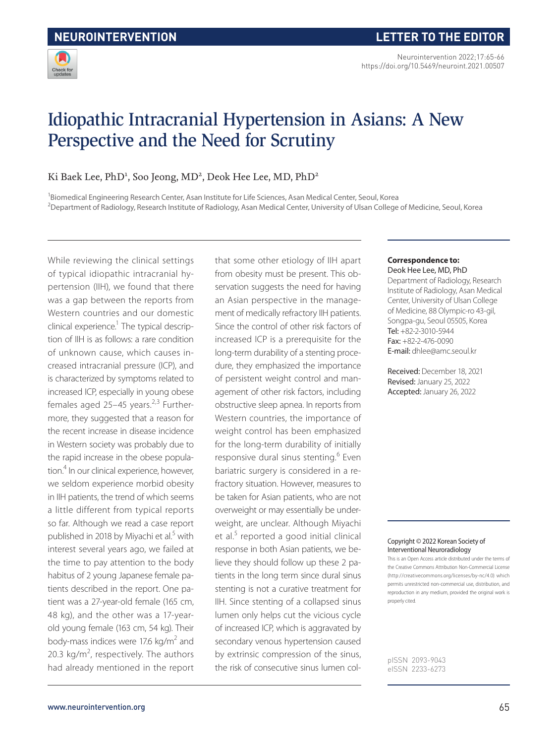

# Idiopathic Intracranial Hypertension in Asians: A New Perspective and the Need for Scrutiny

Ki Baek Lee, PhD<sup>1</sup>, Soo Jeong, MD<sup>2</sup>, Deok Hee Lee, MD, PhD<sup>2</sup>

<sup>1</sup>Biomedical Engineering Research Center, Asan Institute for Life Sciences, Asan Medical Center, Seoul, Korea <sup>2</sup>Department of Radiology, Research Institute of Radiology, Asan Medical Center, University of Ulsan College of Medicine, Seoul, Korea

While reviewing the clinical settings of typical idiopathic intracranial hypertension (IIH), we found that there was a gap between the reports from Western countries and our domestic clinical experience.<sup>1</sup> The typical description of IIH is as follows: a rare condition of unknown cause, which causes increased intracranial pressure (ICP), and is characterized by symptoms related to increased ICP, especially in young obese females aged 25–45 years. $2,3$  Furthermore, they suggested that a reason for the recent increase in disease incidence in Western society was probably due to the rapid increase in the obese population.<sup>4</sup> In our clinical experience, however, we seldom experience morbid obesity in IIH patients, the trend of which seems a little different from typical reports so far. Although we read a case report published in 2018 by Miyachi et al.<sup>5</sup> with interest several years ago, we failed at the time to pay attention to the body habitus of 2 young Japanese female patients described in the report. One patient was a 27-year-old female (165 cm, 48 kg), and the other was a 17-yearold young female (163 cm, 54 kg). Their body-mass indices were 17.6 kg/m<sup>2</sup> and 20.3  $kg/m^2$ , respectively. The authors had already mentioned in the report

that some other etiology of IIH apart from obesity must be present. This observation suggests the need for having an Asian perspective in the management of medically refractory IIH patients. Since the control of other risk factors of increased ICP is a prerequisite for the long-term durability of a stenting procedure, they emphasized the importance of persistent weight control and management of other risk factors, including obstructive sleep apnea. In reports from Western countries, the importance of weight control has been emphasized for the long-term durability of initially responsive dural sinus stenting.<sup>6</sup> Even bariatric surgery is considered in a refractory situation. However, measures to be taken for Asian patients, who are not overweight or may essentially be underweight, are unclear. Although Miyachi et al.<sup>5</sup> reported a good initial clinical response in both Asian patients, we believe they should follow up these 2 patients in the long term since dural sinus stenting is not a curative treatment for IIH. Since stenting of a collapsed sinus lumen only helps cut the vicious cycle of increased ICP, which is aggravated by secondary venous hypertension caused by extrinsic compression of the sinus, the risk of consecutive sinus lumen col-

#### **Correspondence to:** Deok Hee Lee, MD, PhD

Department of Radiology, Research Institute of Radiology, Asan Medical Center, University of Ulsan College of Medicine, 88 Olympic-ro 43-gil, Songpa-gu, Seoul 05505, Korea Tel: +82-2-3010-5944 Fax: +82-2-476-0090 E-mail: dhlee@amc.seoul.kr

Received: December 18, 2021 Revised: January 25, 2022 Accepted: January 26, 2022

#### Copyright © 2022 Korean Society of Interventional Neuroradiology

This is an Open Access article distributed under the terms of the Creative Commons Attribution Non-Commercial License (http://creativecommons.org/licenses/by-nc/4.0) which permits unrestricted non-commercial use, distribution, and reproduction in any medium, provided the original work is properly cited.

pISSN 2093-9043 eISSN 2233-6273